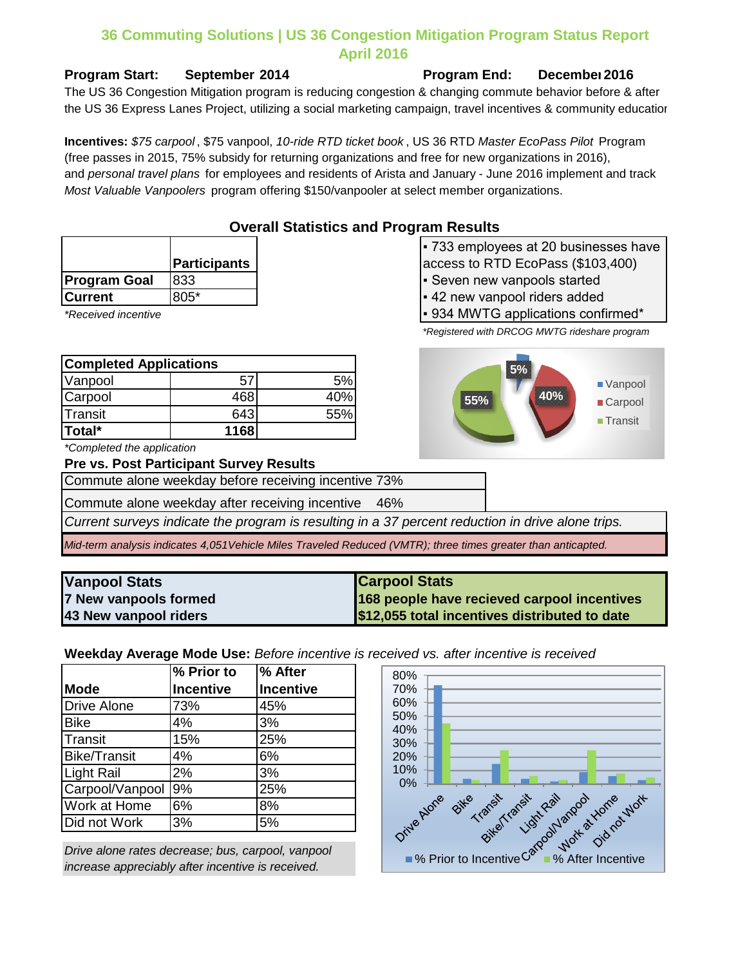#### **36 Commuting Solutions | US 36 Congestion Mitigation Program Status Report April 2016**

#### **Program Start: September 2014 Program End: December 2016**

the US 36 Express Lanes Project, utilizing a social marketing campaign, travel incentives & community educatior The US 36 Congestion Mitigation program is reducing congestion & changing commute behavior before & after

**Incentives:** *\$75 carpool* , \$75 vanpool, *10-ride RTD ticket book* , US 36 RTD *Master EcoPass Pilot* Program (free passes in 2015, 75% subsidy for returning organizations and free for new organizations in 2016), and *personal travel plans* for employees and residents of Arista and January - June 2016 implement and track *Most Valuable Vanpoolers* program offering \$150/vanpooler at select member organizations.

|  | <b>Overall Statistics and Program Results</b> |  |                |
|--|-----------------------------------------------|--|----------------|
|  |                                               |  | $\overline{z}$ |

| • 733 employees at 20 businesses have |
|---------------------------------------|
| access to RTD EcoPass (\$103,400)     |

- Seven new vanpools started
- **Current** 805\* **Research 1805\* Research 1805\* Research 1805\* Propose 1805\* Research 1805\* Research 1805\* Research 1805\* Research 1805\* Research 1805\* Research 1805\* Research 1805\* Research 1805\* Res**

**5%**

**55% 40%**

\*Received incentive **The Confirmed incentive Figure 1 1934 MWTG applications confirmed** in

*\*Registered with DRCOG MWTG rideshare program*

Vanpool **Carpool Transit** 



*\*Completed the application*

**Program Goal 833** 

#### **Pre vs. Post Participant Survey Results**

**Participants**

Commute alone weekday before receiving incentive 73%

Commute alone weekday after receiving incentive 46%

*Current surveys indicate the program is resulting in a 37 percent reduction in drive alone trips.*

*Mid-term analysis indicates 4,051Vehicle Miles Traveled Reduced (VMTR); three times greater than anticapted.*

| <b>Vanpool Stats</b>  | <b>Carpool Stats</b>                          |
|-----------------------|-----------------------------------------------|
| 7 New vanpools formed | 168 people have recieved carpool incentives   |
| 43 New vanpool riders | \$12,055 total incentives distributed to date |

**Weekday Average Mode Use:** *Before incentive is received vs. after incentive is received*

|                     | % Prior to       | % After          |
|---------------------|------------------|------------------|
| <b>Mode</b>         | <b>Incentive</b> | <b>Incentive</b> |
| <b>Drive Alone</b>  | 73%              | 45%              |
| <b>Bike</b>         | 4%               | 3%               |
| Transit             | 15%              | 25%              |
| <b>Bike/Transit</b> | 4%               | 6%               |
| <b>Light Rail</b>   | 2%               | 3%               |
| Carpool/Vanpool     | 9%               | 25%              |
| <b>Work at Home</b> | 6%               | 8%               |
| Did not Work        | 3%               | 5%               |

*Drive alone rates decrease; bus, carpool, vanpool increase appreciably after incentive is received.*

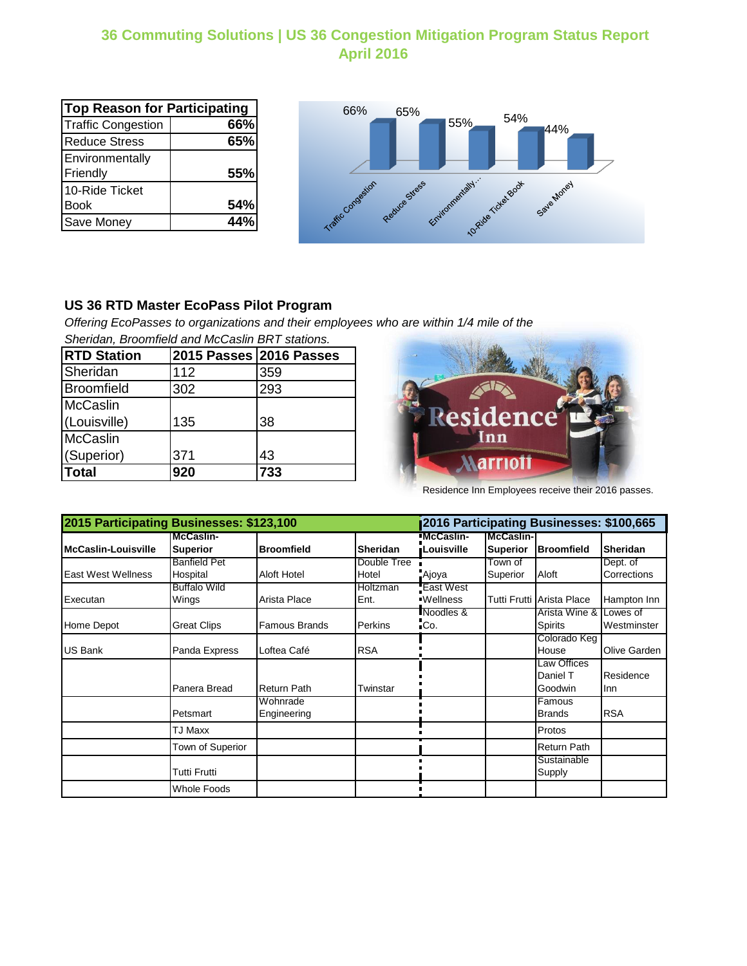## **36 Commuting Solutions | US 36 Congestion Mitigation Program Status Report April 2016**

| <b>Top Reason for Participating</b> |     |  |  |
|-------------------------------------|-----|--|--|
| <b>Traffic Congestion</b>           | 66% |  |  |
| <b>Reduce Stress</b>                | 65% |  |  |
| Environmentally                     |     |  |  |
| Friendly                            | 55% |  |  |
| 10-Ride Ticket                      |     |  |  |
| <b>Book</b>                         | 54% |  |  |
| Save Money                          | 44% |  |  |



### **US 36 RTD Master EcoPass Pilot Program**

*Offering EcoPasses to organizations and their employees who are within 1/4 mile of the Sheridan, Broomfield and McCaslin BRT stations.*

| <b>RTD Station</b> | 2015 Passes 2016 Passes |     |
|--------------------|-------------------------|-----|
| Sheridan           | 112                     | 359 |
| Broomfield         | 302                     | 293 |
| <b>McCaslin</b>    |                         |     |
| (Louisville)       | 135                     | 38  |
| McCaslin           |                         |     |
| (Superior)         | 371                     | 43  |
| Total              | 920                     | 733 |



Residence Inn Employees receive their 2016 passes.

| 2015 Participating Businesses: \$123,100 |                    |                    |                 | 2016 Participating Businesses: \$100,665 |                   |                           |                 |
|------------------------------------------|--------------------|--------------------|-----------------|------------------------------------------|-------------------|---------------------------|-----------------|
|                                          | McCaslin-          |                    |                 | <b>McCaslin-</b>                         | <b>McCaslin-I</b> |                           |                 |
| <b>McCaslin-Louisville</b>               | <b>Superior</b>    | <b>Broomfield</b>  | <b>Sheridan</b> | <b>Louisville</b>                        | Superior          | <b>Broomfield</b>         | <b>Sheridan</b> |
|                                          | Banfield Pet       |                    | Double Tree     |                                          | Town of           |                           | Dept. of        |
| <b>East West Wellness</b>                | Hospital           | Aloft Hotel        | Hotel           | Ajoya                                    | Superior          | Aloft                     | Corrections     |
|                                          | Buffalo Wild       |                    | Holtzman        | East West                                |                   |                           |                 |
| Executan                                 | Wings              | Arista Place       | Ent.            | <b>Wellness</b>                          |                   | Tutti Frutti Arista Place | Hampton Inn     |
|                                          |                    |                    |                 | Noodles &                                |                   | Arista Wine & I           | owes of.        |
| Home Depot                               | <b>Great Clips</b> | Famous Brands      | <b>Perkins</b>  | Co.                                      |                   | Spirits                   | Westminster     |
|                                          |                    |                    |                 |                                          |                   | Colorado Keg              |                 |
| US Bank                                  | Panda Express      | Loftea Café        | <b>RSA</b>      |                                          |                   | House                     | Olive Garden    |
|                                          |                    |                    |                 |                                          |                   | Law Offices               |                 |
|                                          |                    |                    |                 |                                          |                   | Daniel T                  | Residence       |
|                                          | Panera Bread       | <b>Return Path</b> | Twinstar        |                                          |                   | Goodwin                   | <b>Inn</b>      |
|                                          |                    | Wohnrade           |                 |                                          |                   | Famous                    |                 |
|                                          | Petsmart           | Engineering        |                 |                                          |                   | <b>Brands</b>             | <b>RSA</b>      |
|                                          | TJ Maxx            |                    |                 |                                          |                   | Protos                    |                 |
|                                          | Town of Superior   |                    |                 |                                          |                   | <b>Return Path</b>        |                 |
|                                          |                    |                    |                 |                                          |                   | Sustainable               |                 |
|                                          | Tutti Frutti       |                    |                 |                                          |                   | Supply                    |                 |
|                                          | Whole Foods        |                    |                 |                                          |                   |                           |                 |